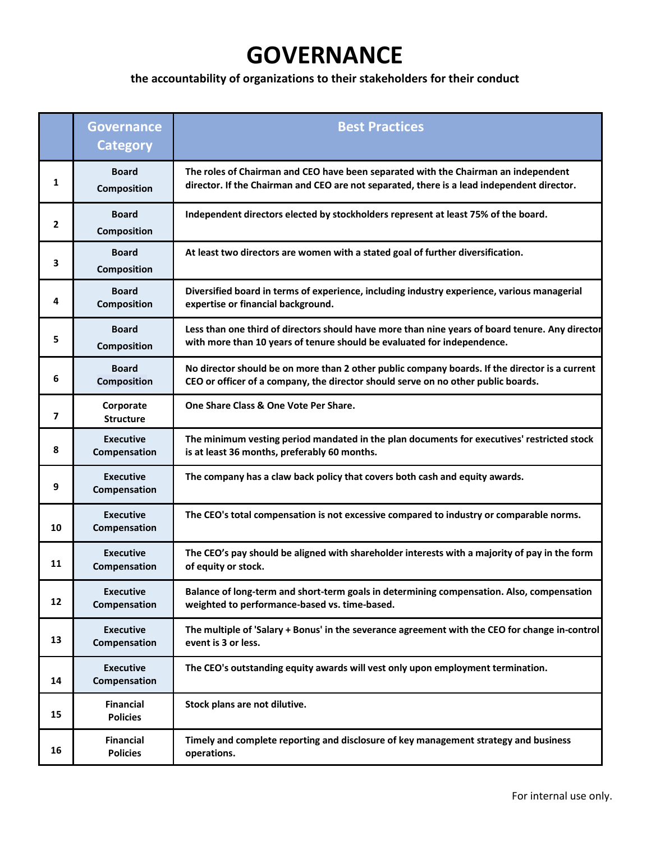## **GOVERNANCE**

## **the accountability of organizations to their stakeholders for their conduct**

|              | <b>Governance</b><br><b>Category</b> | <b>Best Practices</b>                                                                                                                                                               |
|--------------|--------------------------------------|-------------------------------------------------------------------------------------------------------------------------------------------------------------------------------------|
| 1            | <b>Board</b><br><b>Composition</b>   | The roles of Chairman and CEO have been separated with the Chairman an independent<br>director. If the Chairman and CEO are not separated, there is a lead independent director.    |
| $\mathbf{2}$ | <b>Board</b><br><b>Composition</b>   | Independent directors elected by stockholders represent at least 75% of the board.                                                                                                  |
| 3            | <b>Board</b><br><b>Composition</b>   | At least two directors are women with a stated goal of further diversification.                                                                                                     |
| 4            | <b>Board</b><br><b>Composition</b>   | Diversified board in terms of experience, including industry experience, various managerial<br>expertise or financial background.                                                   |
| 5            | <b>Board</b><br><b>Composition</b>   | Less than one third of directors should have more than nine years of board tenure. Any director<br>with more than 10 years of tenure should be evaluated for independence.          |
| 6            | <b>Board</b><br><b>Composition</b>   | No director should be on more than 2 other public company boards. If the director is a current<br>CEO or officer of a company, the director should serve on no other public boards. |
| 7            | Corporate<br><b>Structure</b>        | One Share Class & One Vote Per Share.                                                                                                                                               |
| 8            | <b>Executive</b><br>Compensation     | The minimum vesting period mandated in the plan documents for executives' restricted stock<br>is at least 36 months, preferably 60 months.                                          |
| 9            | <b>Executive</b><br>Compensation     | The company has a claw back policy that covers both cash and equity awards.                                                                                                         |
| 10           | <b>Executive</b><br>Compensation     | The CEO's total compensation is not excessive compared to industry or comparable norms.                                                                                             |
| 11           | <b>Executive</b><br>Compensation     | The CEO's pay should be aligned with shareholder interests with a majority of pay in the form<br>of equity or stock.                                                                |
| 12           | <b>Executive</b><br>Compensation     | Balance of long-term and short-term goals in determining compensation. Also, compensation<br>weighted to performance-based vs. time-based.                                          |
| 13           | <b>Executive</b><br>Compensation     | The multiple of 'Salary + Bonus' in the severance agreement with the CEO for change in-control<br>event is 3 or less.                                                               |
| 14           | <b>Executive</b><br>Compensation     | The CEO's outstanding equity awards will vest only upon employment termination.                                                                                                     |
| 15           | <b>Financial</b><br><b>Policies</b>  | Stock plans are not dilutive.                                                                                                                                                       |
| 16           | <b>Financial</b><br><b>Policies</b>  | Timely and complete reporting and disclosure of key management strategy and business<br>operations.                                                                                 |